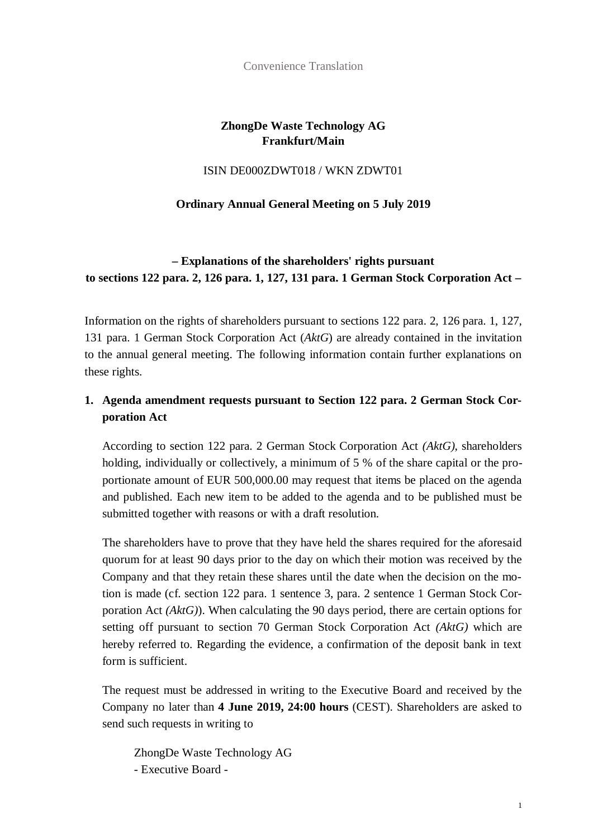Convenience Translation

### **ZhongDe Waste Technology AG Frankfurt/Main**

#### ISIN DE000ZDWT018 / WKN ZDWT01

### **Ordinary Annual General Meeting on 5 July 2019**

## **– Explanations of the shareholders' rights pursuant to sections 122 para. 2, 126 para. 1, 127, 131 para. 1 German Stock Corporation Act –**

Information on the rights of shareholders pursuant to sections 122 para. 2, 126 para. 1, 127, 131 para. 1 German Stock Corporation Act (*AktG*) are already contained in the invitation to the annual general meeting. The following information contain further explanations on these rights.

### **1. Agenda amendment requests pursuant to Section 122 para. 2 German Stock Corporation Act**

According to section 122 para. 2 German Stock Corporation Act *(AktG)*, shareholders holding, individually or collectively, a minimum of 5 % of the share capital or the proportionate amount of EUR 500,000.00 may request that items be placed on the agenda and published. Each new item to be added to the agenda and to be published must be submitted together with reasons or with a draft resolution.

The shareholders have to prove that they have held the shares required for the aforesaid quorum for at least 90 days prior to the day on which their motion was received by the Company and that they retain these shares until the date when the decision on the motion is made (cf. section 122 para. 1 sentence 3, para. 2 sentence 1 German Stock Corporation Act *(AktG)*). When calculating the 90 days period, there are certain options for setting off pursuant to section 70 German Stock Corporation Act *(AktG)* which are hereby referred to. Regarding the evidence, a confirmation of the deposit bank in text form is sufficient.

The request must be addressed in writing to the Executive Board and received by the Company no later than **4 June 2019, 24:00 hours** (CEST). Shareholders are asked to send such requests in writing to

ZhongDe Waste Technology AG - Executive Board -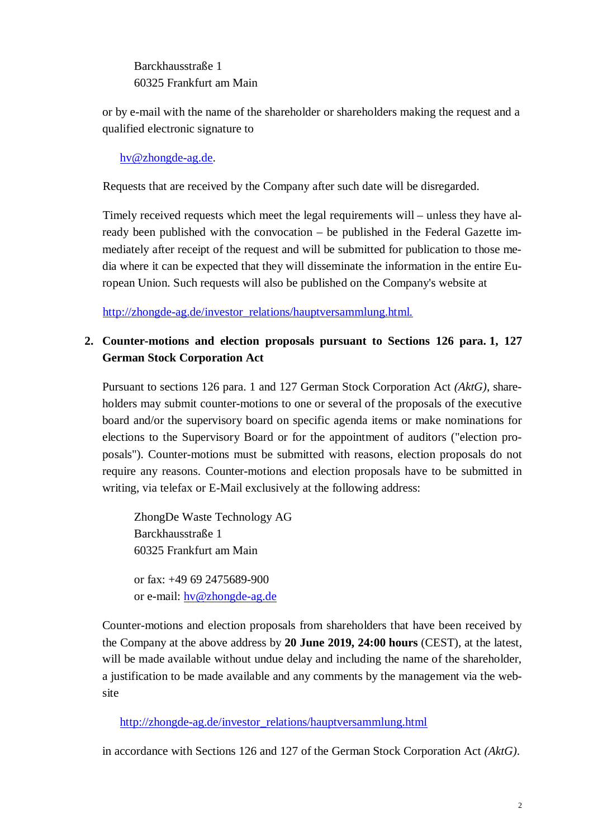Barckhausstraße 1 60325 Frankfurt am Main

or by e-mail with the name of the shareholder or shareholders making the request and a qualified electronic signature to

hv@zhongde-ag.de.

Requests that are received by the Company after such date will be disregarded.

Timely received requests which meet the legal requirements will – unless they have already been published with the convocation – be published in the Federal Gazette immediately after receipt of the request and will be submitted for publication to those media where it can be expected that they will disseminate the information in the entire European Union. Such requests will also be published on the Company's website at

http://zhongde-ag.de/investor\_relations/hauptversammlung.html.

# **2. Counter-motions and election proposals pursuant to Sections 126 para. 1, 127 German Stock Corporation Act**

Pursuant to sections 126 para. 1 and 127 German Stock Corporation Act *(AktG)*, shareholders may submit counter-motions to one or several of the proposals of the executive board and/or the supervisory board on specific agenda items or make nominations for elections to the Supervisory Board or for the appointment of auditors ("election proposals"). Counter-motions must be submitted with reasons, election proposals do not require any reasons. Counter-motions and election proposals have to be submitted in writing, via telefax or E-Mail exclusively at the following address:

ZhongDe Waste Technology AG Barckhausstraße 1 60325 Frankfurt am Main

or fax: +49 69 2475689-900 or e-mail: hv@zhongde-ag.de

Counter-motions and election proposals from shareholders that have been received by the Company at the above address by **20 June 2019, 24:00 hours** (CEST), at the latest, will be made available without undue delay and including the name of the shareholder, a justification to be made available and any comments by the management via the website

#### http://zhongde-ag.de/investor\_relations/hauptversammlung.html

in accordance with Sections 126 and 127 of the German Stock Corporation Act *(AktG)*.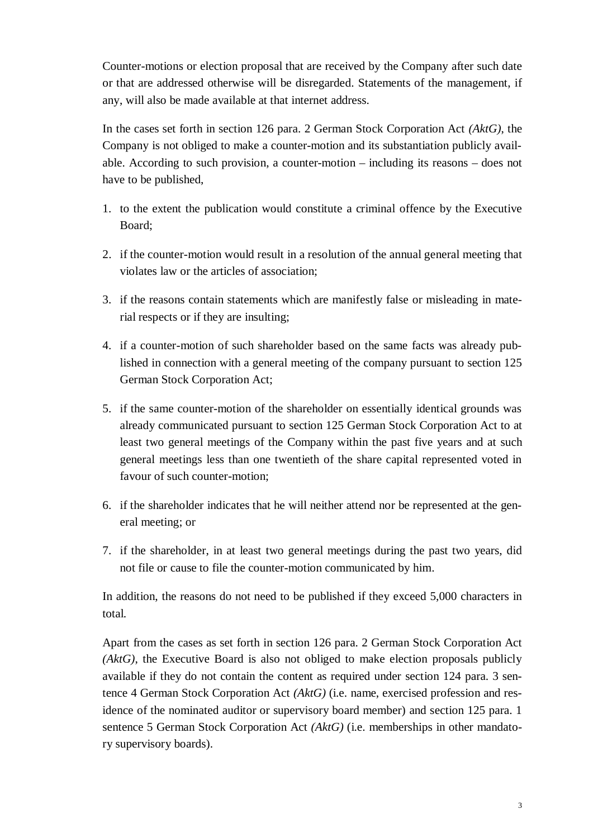Counter-motions or election proposal that are received by the Company after such date or that are addressed otherwise will be disregarded. Statements of the management, if any, will also be made available at that internet address.

In the cases set forth in section 126 para. 2 German Stock Corporation Act *(AktG)*, the Company is not obliged to make a counter-motion and its substantiation publicly available. According to such provision, a counter-motion – including its reasons – does not have to be published,

- 1. to the extent the publication would constitute a criminal offence by the Executive Board;
- 2. if the counter-motion would result in a resolution of the annual general meeting that violates law or the articles of association;
- 3. if the reasons contain statements which are manifestly false or misleading in material respects or if they are insulting;
- 4. if a counter-motion of such shareholder based on the same facts was already published in connection with a general meeting of the company pursuant to section 125 German Stock Corporation Act;
- 5. if the same counter-motion of the shareholder on essentially identical grounds was already communicated pursuant to section 125 German Stock Corporation Act to at least two general meetings of the Company within the past five years and at such general meetings less than one twentieth of the share capital represented voted in favour of such counter-motion;
- 6. if the shareholder indicates that he will neither attend nor be represented at the general meeting; or
- 7. if the shareholder, in at least two general meetings during the past two years, did not file or cause to file the counter-motion communicated by him.

In addition, the reasons do not need to be published if they exceed 5,000 characters in total.

Apart from the cases as set forth in section 126 para. 2 German Stock Corporation Act *(AktG)*, the Executive Board is also not obliged to make election proposals publicly available if they do not contain the content as required under section 124 para. 3 sentence 4 German Stock Corporation Act *(AktG)* (i.e. name, exercised profession and residence of the nominated auditor or supervisory board member) and section 125 para. 1 sentence 5 German Stock Corporation Act *(AktG)* (i.e. memberships in other mandatory supervisory boards).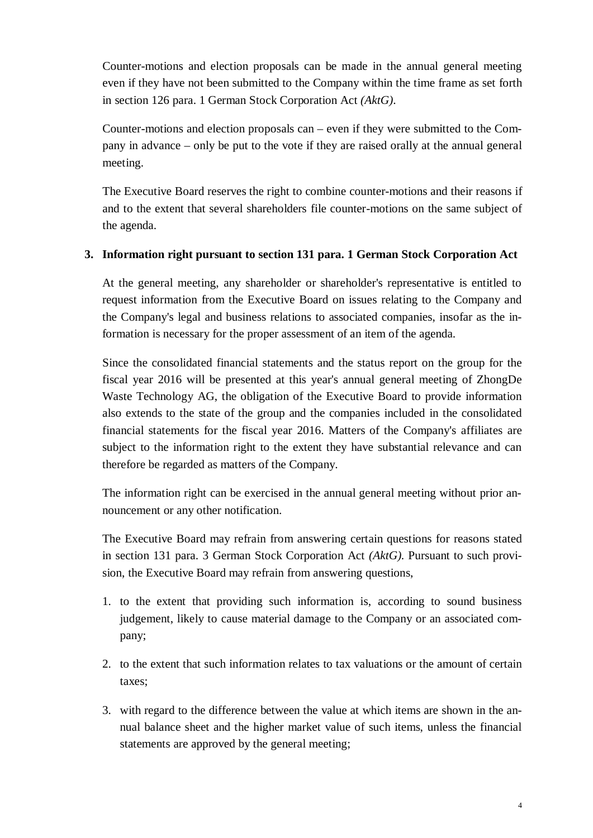Counter-motions and election proposals can be made in the annual general meeting even if they have not been submitted to the Company within the time frame as set forth in section 126 para. 1 German Stock Corporation Act *(AktG)*.

Counter-motions and election proposals can – even if they were submitted to the Company in advance – only be put to the vote if they are raised orally at the annual general meeting.

The Executive Board reserves the right to combine counter-motions and their reasons if and to the extent that several shareholders file counter-motions on the same subject of the agenda.

#### **3. Information right pursuant to section 131 para. 1 German Stock Corporation Act**

At the general meeting, any shareholder or shareholder's representative is entitled to request information from the Executive Board on issues relating to the Company and the Company's legal and business relations to associated companies, insofar as the information is necessary for the proper assessment of an item of the agenda.

Since the consolidated financial statements and the status report on the group for the fiscal year 2016 will be presented at this year's annual general meeting of ZhongDe Waste Technology AG, the obligation of the Executive Board to provide information also extends to the state of the group and the companies included in the consolidated financial statements for the fiscal year 2016. Matters of the Company's affiliates are subject to the information right to the extent they have substantial relevance and can therefore be regarded as matters of the Company.

The information right can be exercised in the annual general meeting without prior announcement or any other notification.

The Executive Board may refrain from answering certain questions for reasons stated in section 131 para. 3 German Stock Corporation Act *(AktG)*. Pursuant to such provision, the Executive Board may refrain from answering questions,

- 1. to the extent that providing such information is, according to sound business judgement, likely to cause material damage to the Company or an associated company;
- 2. to the extent that such information relates to tax valuations or the amount of certain taxes;
- 3. with regard to the difference between the value at which items are shown in the annual balance sheet and the higher market value of such items, unless the financial statements are approved by the general meeting;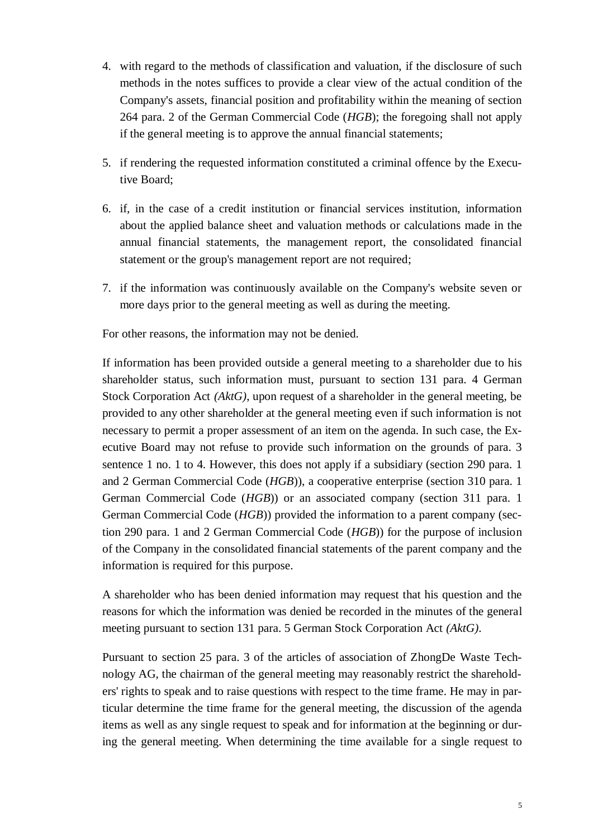- 4. with regard to the methods of classification and valuation, if the disclosure of such methods in the notes suffices to provide a clear view of the actual condition of the Company's assets, financial position and profitability within the meaning of section 264 para. 2 of the German Commercial Code (*HGB*); the foregoing shall not apply if the general meeting is to approve the annual financial statements;
- 5. if rendering the requested information constituted a criminal offence by the Executive Board;
- 6. if, in the case of a credit institution or financial services institution, information about the applied balance sheet and valuation methods or calculations made in the annual financial statements, the management report, the consolidated financial statement or the group's management report are not required;
- 7. if the information was continuously available on the Company's website seven or more days prior to the general meeting as well as during the meeting.

For other reasons, the information may not be denied.

If information has been provided outside a general meeting to a shareholder due to his shareholder status, such information must, pursuant to section 131 para. 4 German Stock Corporation Act *(AktG)*, upon request of a shareholder in the general meeting, be provided to any other shareholder at the general meeting even if such information is not necessary to permit a proper assessment of an item on the agenda. In such case, the Executive Board may not refuse to provide such information on the grounds of para. 3 sentence 1 no. 1 to 4. However, this does not apply if a subsidiary (section 290 para. 1 and 2 German Commercial Code (*HGB*)), a cooperative enterprise (section 310 para. 1 German Commercial Code (*HGB*)) or an associated company (section 311 para. 1 German Commercial Code (*HGB*)) provided the information to a parent company (section 290 para. 1 and 2 German Commercial Code (*HGB*)) for the purpose of inclusion of the Company in the consolidated financial statements of the parent company and the information is required for this purpose.

A shareholder who has been denied information may request that his question and the reasons for which the information was denied be recorded in the minutes of the general meeting pursuant to section 131 para. 5 German Stock Corporation Act *(AktG)*.

Pursuant to section 25 para. 3 of the articles of association of ZhongDe Waste Technology AG, the chairman of the general meeting may reasonably restrict the shareholders' rights to speak and to raise questions with respect to the time frame. He may in particular determine the time frame for the general meeting, the discussion of the agenda items as well as any single request to speak and for information at the beginning or during the general meeting. When determining the time available for a single request to